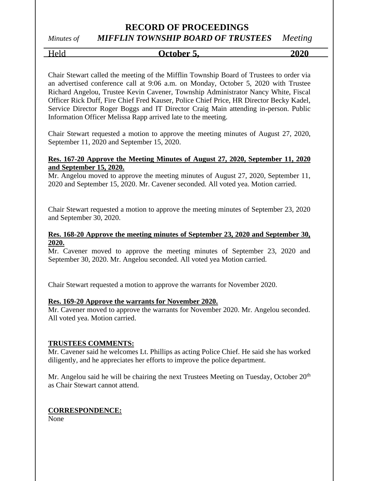# *Minutes of MIFFLIN TOWNSHIP BOARD OF TRUSTEES Meeting*

Held **October 5, 2020**

Chair Stewart called the meeting of the Mifflin Township Board of Trustees to order via an advertised conference call at 9:06 a.m. on Monday, October 5, 2020 with Trustee Richard Angelou, Trustee Kevin Cavener, Township Administrator Nancy White, Fiscal Officer Rick Duff, Fire Chief Fred Kauser, Police Chief Price, HR Director Becky Kadel, Service Director Roger Boggs and IT Director Craig Main attending in-person. Public Information Officer Melissa Rapp arrived late to the meeting.

Chair Stewart requested a motion to approve the meeting minutes of August 27, 2020, September 11, 2020 and September 15, 2020.

#### **Res. 167-20 Approve the Meeting Minutes of August 27, 2020, September 11, 2020 and September 15, 2020.**

Mr. Angelou moved to approve the meeting minutes of August 27, 2020, September 11, 2020 and September 15, 2020. Mr. Cavener seconded. All voted yea. Motion carried.

Chair Stewart requested a motion to approve the meeting minutes of September 23, 2020 and September 30, 2020.

#### **Res. 168-20 Approve the meeting minutes of September 23, 2020 and September 30, 2020.**

Mr. Cavener moved to approve the meeting minutes of September 23, 2020 and September 30, 2020. Mr. Angelou seconded. All voted yea Motion carried.

Chair Stewart requested a motion to approve the warrants for November 2020.

#### **Res. 169-20 Approve the warrants for November 2020.**

Mr. Cavener moved to approve the warrants for November 2020. Mr. Angelou seconded. All voted yea. Motion carried.

#### **TRUSTEES COMMENTS:**

Mr. Cavener said he welcomes Lt. Phillips as acting Police Chief. He said she has worked diligently, and he appreciates her efforts to improve the police department.

Mr. Angelou said he will be chairing the next Trustees Meeting on Tuesday, October  $20<sup>th</sup>$ as Chair Stewart cannot attend.

#### **CORRESPONDENCE:**

None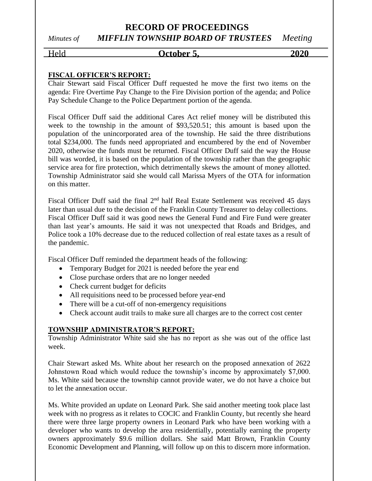#### Held **October 5, 2020**

#### **FISCAL OFFICER'S REPORT:**

Chair Stewart said Fiscal Officer Duff requested he move the first two items on the agenda: Fire Overtime Pay Change to the Fire Division portion of the agenda; and Police Pay Schedule Change to the Police Department portion of the agenda.

Fiscal Officer Duff said the additional Cares Act relief money will be distributed this week to the township in the amount of \$93,520.51; this amount is based upon the population of the unincorporated area of the township. He said the three distributions total \$234,000. The funds need appropriated and encumbered by the end of November 2020, otherwise the funds must be returned. Fiscal Officer Duff said the way the House bill was worded, it is based on the population of the township rather than the geographic service area for fire protection, which detrimentally skews the amount of money allotted. Township Administrator said she would call Marissa Myers of the OTA for information on this matter.

Fiscal Officer Duff said the final 2<sup>nd</sup> half Real Estate Settlement was received 45 days later than usual due to the decision of the Franklin County Treasurer to delay collections. Fiscal Officer Duff said it was good news the General Fund and Fire Fund were greater than last year's amounts. He said it was not unexpected that Roads and Bridges, and Police took a 10% decrease due to the reduced collection of real estate taxes as a result of the pandemic.

Fiscal Officer Duff reminded the department heads of the following:

- Temporary Budget for 2021 is needed before the year end
- Close purchase orders that are no longer needed
- Check current budget for deficits
- All requisitions need to be processed before year-end
- There will be a cut-off of non-emergency requisitions
- Check account audit trails to make sure all charges are to the correct cost center

## **TOWNSHIP ADMINISTRATOR'S REPORT:**

Township Administrator White said she has no report as she was out of the office last week.

Chair Stewart asked Ms. White about her research on the proposed annexation of 2622 Johnstown Road which would reduce the township's income by approximately \$7,000. Ms. White said because the township cannot provide water, we do not have a choice but to let the annexation occur.

Ms. White provided an update on Leonard Park. She said another meeting took place last week with no progress as it relates to COCIC and Franklin County, but recently she heard there were three large property owners in Leonard Park who have been working with a developer who wants to develop the area residentially, potentially earning the property owners approximately \$9.6 million dollars. She said Matt Brown, Franklin County Economic Development and Planning, will follow up on this to discern more information.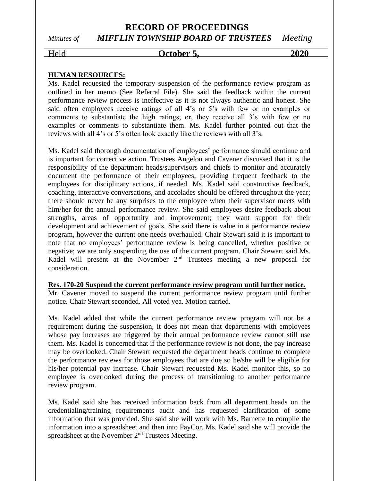#### Held **October 5, 2020**

#### **HUMAN RESOURCES:**

Ms. Kadel requested the temporary suspension of the performance review program as outlined in her memo (See Referral File). She said the feedback within the current performance review process is ineffective as it is not always authentic and honest. She said often employees receive ratings of all 4's or 5's with few or no examples or comments to substantiate the high ratings; or, they receive all 3's with few or no examples or comments to substantiate them. Ms. Kadel further pointed out that the reviews with all 4's or 5's often look exactly like the reviews with all 3's.

Ms. Kadel said thorough documentation of employees' performance should continue and is important for corrective action. Trustees Angelou and Cavener discussed that it is the responsibility of the department heads/supervisors and chiefs to monitor and accurately document the performance of their employees, providing frequent feedback to the employees for disciplinary actions, if needed. Ms. Kadel said constructive feedback, coaching, interactive conversations, and accolades should be offered throughout the year; there should never be any surprises to the employee when their supervisor meets with him/her for the annual performance review. She said employees desire feedback about strengths, areas of opportunity and improvement; they want support for their development and achievement of goals. She said there is value in a performance review program, however the current one needs overhauled. Chair Stewart said it is important to note that no employees' performance review is being cancelled, whether positive or negative; we are only suspending the use of the current program. Chair Stewart said Ms. Kadel will present at the November 2nd Trustees meeting a new proposal for consideration.

#### **Res. 170-20 Suspend the current performance review program until further notice.**

Mr. Cavener moved to suspend the current performance review program until further notice. Chair Stewart seconded. All voted yea. Motion carried.

Ms. Kadel added that while the current performance review program will not be a requirement during the suspension, it does not mean that departments with employees whose pay increases are triggered by their annual performance review cannot still use them. Ms. Kadel is concerned that if the performance review is not done, the pay increase may be overlooked. Chair Stewart requested the department heads continue to complete the performance reviews for those employees that are due so he/she will be eligible for his/her potential pay increase. Chair Stewart requested Ms. Kadel monitor this, so no employee is overlooked during the process of transitioning to another performance review program.

Ms. Kadel said she has received information back from all department heads on the credentialing/training requirements audit and has requested clarification of some information that was provided. She said she will work with Ms. Barnette to compile the information into a spreadsheet and then into PayCor. Ms. Kadel said she will provide the spreadsheet at the November  $2<sup>nd</sup>$  Trustees Meeting.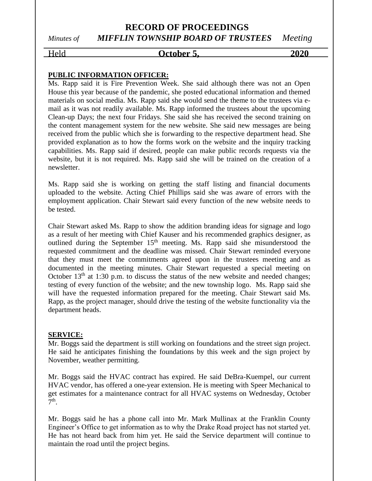### Held **October 5, 2020**

#### **PUBLIC INFORMATION OFFICER:**

Ms. Rapp said it is Fire Prevention Week. She said although there was not an Open House this year because of the pandemic, she posted educational information and themed materials on social media. Ms. Rapp said she would send the theme to the trustees via email as it was not readily available. Ms. Rapp informed the trustees about the upcoming Clean-up Days; the next four Fridays. She said she has received the second training on the content management system for the new website. She said new messages are being received from the public which she is forwarding to the respective department head. She provided explanation as to how the forms work on the website and the inquiry tracking capabilities. Ms. Rapp said if desired, people can make public records requests via the website, but it is not required. Ms. Rapp said she will be trained on the creation of a newsletter.

Ms. Rapp said she is working on getting the staff listing and financial documents uploaded to the website. Acting Chief Phillips said she was aware of errors with the employment application. Chair Stewart said every function of the new website needs to be tested.

Chair Stewart asked Ms. Rapp to show the addition branding ideas for signage and logo as a result of her meeting with Chief Kauser and his recommended graphics designer, as outlined during the September 15<sup>th</sup> meeting. Ms. Rapp said she misunderstood the requested commitment and the deadline was missed. Chair Stewart reminded everyone that they must meet the commitments agreed upon in the trustees meeting and as documented in the meeting minutes. Chair Stewart requested a special meeting on October  $13<sup>th</sup>$  at 1:30 p.m. to discuss the status of the new website and needed changes; testing of every function of the website; and the new township logo. Ms. Rapp said she will have the requested information prepared for the meeting. Chair Stewart said Ms. Rapp, as the project manager, should drive the testing of the website functionality via the department heads.

#### **SERVICE:**

Mr. Boggs said the department is still working on foundations and the street sign project. He said he anticipates finishing the foundations by this week and the sign project by November, weather permitting.

Mr. Boggs said the HVAC contract has expired. He said DeBra-Kuempel, our current HVAC vendor, has offered a one-year extension. He is meeting with Speer Mechanical to get estimates for a maintenance contract for all HVAC systems on Wednesday, October  $7<sup>th</sup>$ .

Mr. Boggs said he has a phone call into Mr. Mark Mullinax at the Franklin County Engineer's Office to get information as to why the Drake Road project has not started yet. He has not heard back from him yet. He said the Service department will continue to maintain the road until the project begins.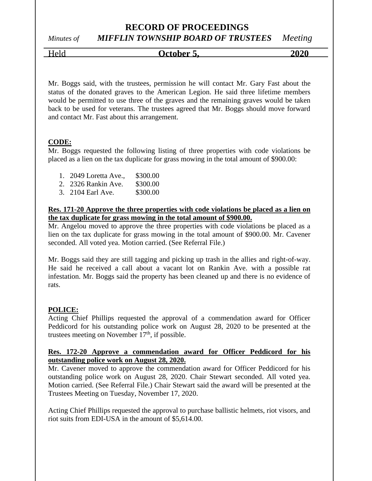*Minutes of MIFFLIN TOWNSHIP BOARD OF TRUSTEES Meeting*

# Held **October 5, 2020**

Mr. Boggs said, with the trustees, permission he will contact Mr. Gary Fast about the status of the donated graves to the American Legion. He said three lifetime members would be permitted to use three of the graves and the remaining graves would be taken back to be used for veterans. The trustees agreed that Mr. Boggs should move forward and contact Mr. Fast about this arrangement.

#### **CODE:**

Mr. Boggs requested the following listing of three properties with code violations be placed as a lien on the tax duplicate for grass mowing in the total amount of \$900.00:

- 2. 2326 Rankin Ave. \$300.00
- 3. 2104 Earl Ave. \$300.00

#### **Res. 171-20 Approve the three properties with code violations be placed as a lien on the tax duplicate for grass mowing in the total amount of \$900.00.**

Mr. Angelou moved to approve the three properties with code violations be placed as a lien on the tax duplicate for grass mowing in the total amount of \$900.00. Mr. Cavener seconded. All voted yea. Motion carried. (See Referral File.)

Mr. Boggs said they are still tagging and picking up trash in the allies and right-of-way. He said he received a call about a vacant lot on Rankin Ave. with a possible rat infestation. Mr. Boggs said the property has been cleaned up and there is no evidence of rats.

#### **POLICE:**

Acting Chief Phillips requested the approval of a commendation award for Officer Peddicord for his outstanding police work on August 28, 2020 to be presented at the trustees meeting on November  $17<sup>th</sup>$ , if possible.

#### **Res. 172-20 Approve a commendation award for Officer Peddicord for his outstanding police work on August 28, 2020.**

Mr. Cavener moved to approve the commendation award for Officer Peddicord for his outstanding police work on August 28, 2020. Chair Stewart seconded. All voted yea. Motion carried. (See Referral File.) Chair Stewart said the award will be presented at the Trustees Meeting on Tuesday, November 17, 2020.

Acting Chief Phillips requested the approval to purchase ballistic helmets, riot visors, and riot suits from EDI-USA in the amount of \$5,614.00.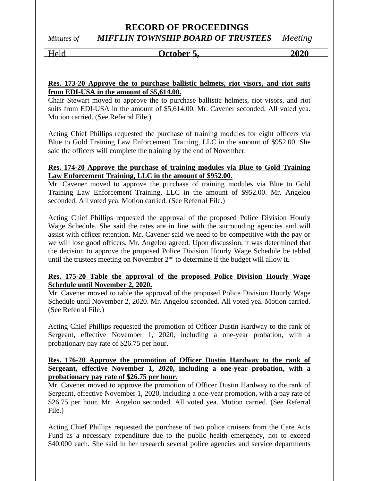# Held **October 5, 2020**

#### **Res. 173-20 Approve the to purchase ballistic helmets, riot visors, and riot suits from EDI-USA in the amount of \$5,614.00.**

Chair Stewart moved to approve the to purchase ballistic helmets, riot visors, and riot suits from EDI-USA in the amount of \$5,614.00. Mr. Cavener seconded. All voted yea. Motion carried. (See Referral File.)

Acting Chief Phillips requested the purchase of training modules for eight officers via Blue to Gold Training Law Enforcement Training, LLC in the amount of \$952.00. She said the officers will complete the training by the end of November.

#### **Res. 174-20 Approve the purchase of training modules via Blue to Gold Training Law Enforcement Training, LLC in the amount of \$952.00.**

Mr. Cavener moved to approve the purchase of training modules via Blue to Gold Training Law Enforcement Training, LLC in the amount of \$952.00. Mr. Angelou seconded. All voted yea. Motion carried. (See Referral File.)

Acting Chief Phillips requested the approval of the proposed Police Division Hourly Wage Schedule. She said the rates are in line with the surrounding agencies and will assist with officer retention. Mr. Cavener said we need to be competitive with the pay or we will lose good officers. Mr. Angelou agreed. Upon discussion, it was determined that the decision to approve the proposed Police Division Hourly Wage Schedule be tabled until the trustees meeting on November  $2<sup>nd</sup>$  to determine if the budget will allow it.

#### **Res. 175-20 Table the approval of the proposed Police Division Hourly Wage Schedule until November 2, 2020.**

Mr. Cavener moved to table the approval of the proposed Police Division Hourly Wage Schedule until November 2, 2020. Mr. Angelou seconded. All voted yea. Motion carried. (See Referral File.)

Acting Chief Phillips requested the promotion of Officer Dustin Hardway to the rank of Sergeant, effective November 1, 2020, including a one-year probation, with a probationary pay rate of \$26.75 per hour.

#### **Res. 176-20 Approve the promotion of Officer Dustin Hardway to the rank of Sergeant, effective November 1, 2020, including a one-year probation, with a probationary pay rate of \$26.75 per hour.**

Mr. Cavener moved to approve the promotion of Officer Dustin Hardway to the rank of Sergeant, effective November 1, 2020, including a one-year promotion, with a pay rate of \$26.75 per hour. Mr. Angelou seconded. All voted yea. Motion carried. (See Referral File.)

Acting Chief Phillips requested the purchase of two police cruisers from the Care Acts Fund as a necessary expenditure due to the public health emergency, not to exceed \$40,000 each. She said in her research several police agencies and service departments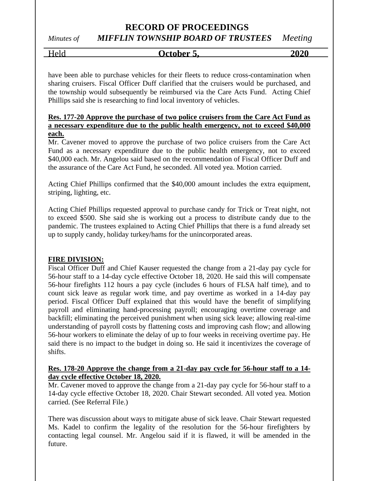# *Minutes of MIFFLIN TOWNSHIP BOARD OF TRUSTEES Meeting*

Held **October 5, 2020**

have been able to purchase vehicles for their fleets to reduce cross-contamination when sharing cruisers. Fiscal Officer Duff clarified that the cruisers would be purchased, and the township would subsequently be reimbursed via the Care Acts Fund. Acting Chief Phillips said she is researching to find local inventory of vehicles.

#### **Res. 177-20 Approve the purchase of two police cruisers from the Care Act Fund as a necessary expenditure due to the public health emergency, not to exceed \$40,000 each.**

Mr. Cavener moved to approve the purchase of two police cruisers from the Care Act Fund as a necessary expenditure due to the public health emergency, not to exceed \$40,000 each. Mr. Angelou said based on the recommendation of Fiscal Officer Duff and the assurance of the Care Act Fund, he seconded. All voted yea. Motion carried.

Acting Chief Phillips confirmed that the \$40,000 amount includes the extra equipment, striping, lighting, etc.

Acting Chief Phillips requested approval to purchase candy for Trick or Treat night, not to exceed \$500. She said she is working out a process to distribute candy due to the pandemic. The trustees explained to Acting Chief Phillips that there is a fund already set up to supply candy, holiday turkey/hams for the unincorporated areas.

#### **FIRE DIVISION:**

Fiscal Officer Duff and Chief Kauser requested the change from a 21-day pay cycle for 56-hour staff to a 14-day cycle effective October 18, 2020. He said this will compensate 56-hour firefights 112 hours a pay cycle (includes 6 hours of FLSA half time), and to count sick leave as regular work time, and pay overtime as worked in a 14-day pay period. Fiscal Officer Duff explained that this would have the benefit of simplifying payroll and eliminating hand-processing payroll; encouraging overtime coverage and backfill; eliminating the perceived punishment when using sick leave; allowing real-time understanding of payroll costs by flattening costs and improving cash flow; and allowing 56-hour workers to eliminate the delay of up to four weeks in receiving overtime pay. He said there is no impact to the budget in doing so. He said it incentivizes the coverage of shifts.

#### **Res. 178-20 Approve the change from a 21-day pay cycle for 56-hour staff to a 14 day cycle effective October 18, 2020.**

Mr. Cavener moved to approve the change from a 21-day pay cycle for 56-hour staff to a 14-day cycle effective October 18, 2020. Chair Stewart seconded. All voted yea. Motion carried. (See Referral File.)

There was discussion about ways to mitigate abuse of sick leave. Chair Stewart requested Ms. Kadel to confirm the legality of the resolution for the 56-hour firefighters by contacting legal counsel. Mr. Angelou said if it is flawed, it will be amended in the future.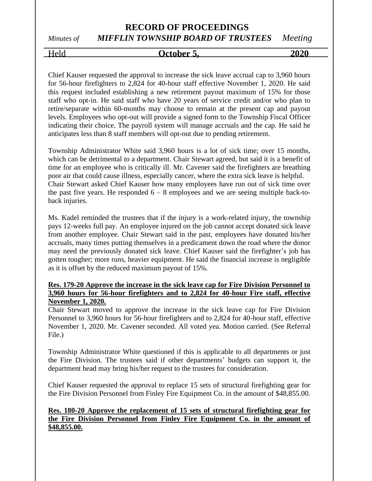Held **October 5, 2020**

Chief Kauser requested the approval to increase the sick leave accrual cap to 3,960 hours for 56-hour firefighters to 2,824 for 40-hour staff effective November 1, 2020. He said this request included establishing a new retirement payout maximum of 15% for those staff who opt-in. He said staff who have 20 years of service credit and/or who plan to retire/separate within 60-months may choose to remain at the present cap and payout levels. Employees who opt-out will provide a signed form to the Township Fiscal Officer indicating their choice. The payroll system will manage accruals and the cap. He said he anticipates less than 8 staff members will opt-out due to pending retirement.

Township Administrator White said 3,960 hours is a lot of sick time; over 15 months, which can be detrimental to a department. Chair Stewart agreed, but said it is a benefit of time for an employee who is critically ill. Mr. Cavener said the firefighters are breathing poor air that could cause illness, especially cancer, where the extra sick leave is helpful. Chair Stewart asked Chief Kauser how many employees have run out of sick time over the past five years. He responded  $6 - 8$  employees and we are seeing multiple back-toback injuries.

Ms. Kadel reminded the trustees that if the injury is a work-related injury, the township pays 12-weeks full pay. An employee injured on the job cannot accept donated sick leave from another employee. Chair Stewart said in the past, employees have donated his/her accruals, many times putting themselves in a predicament down the road where the donor may need the previously donated sick leave. Chief Kauser said the firefighter's job has gotten tougher; more runs, heavier equipment. He said the financial increase is negligible as it is offset by the reduced maximum payout of 15%.

#### **Res. 179-20 Approve the increase in the sick leave cap for Fire Division Personnel to 3,960 hours for 56-hour firefighters and to 2,824 for 40-hour Fire staff, effective November 1, 2020.**

Chair Stewart moved to approve the increase in the sick leave cap for Fire Division Personnel to 3,960 hours for 56-hour firefighters and to 2,824 for 40-hour staff, effective November 1, 2020. Mr. Cavener seconded. All voted yea. Motion carried. (See Referral File.)

Township Administrator White questioned if this is applicable to all departments or just the Fire Division. The trustees said if other departments' budgets can support it, the department head may bring his/her request to the trustees for consideration.

Chief Kauser requested the approval to replace 15 sets of structural firefighting gear for the Fire Division Personnel from Finley Fire Equipment Co. in the amount of \$48,855.00.

#### **Res. 180-20 Approve the replacement of 15 sets of structural firefighting gear for the Fire Division Personnel from Finley Fire Equipment Co. in the amount of \$48,855.00.**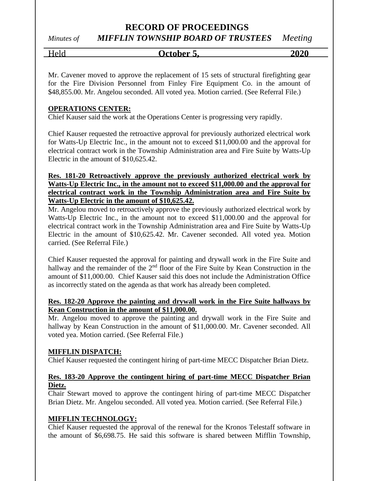# *Minutes of MIFFLIN TOWNSHIP BOARD OF TRUSTEES Meeting*

Held **October 5, 2020**

Mr. Cavener moved to approve the replacement of 15 sets of structural firefighting gear for the Fire Division Personnel from Finley Fire Equipment Co. in the amount of \$48,855.00. Mr. Angelou seconded. All voted yea. Motion carried. (See Referral File.)

#### **OPERATIONS CENTER:**

Chief Kauser said the work at the Operations Center is progressing very rapidly.

Chief Kauser requested the retroactive approval for previously authorized electrical work for Watts-Up Electric Inc., in the amount not to exceed \$11,000.00 and the approval for electrical contract work in the Township Administration area and Fire Suite by Watts-Up Electric in the amount of \$10,625.42.

#### **Res. 181-20 Retroactively approve the previously authorized electrical work by Watts-Up Electric Inc., in the amount not to exceed \$11,000.00 and the approval for electrical contract work in the Township Administration area and Fire Suite by Watts-Up Electric in the amount of \$10,625.42.**

Mr. Angelou moved to retroactively approve the previously authorized electrical work by Watts-Up Electric Inc., in the amount not to exceed \$11,000.00 and the approval for electrical contract work in the Township Administration area and Fire Suite by Watts-Up Electric in the amount of \$10,625.42. Mr. Cavener seconded. All voted yea. Motion carried. (See Referral File.)

Chief Kauser requested the approval for painting and drywall work in the Fire Suite and hallway and the remainder of the 2<sup>nd</sup> floor of the Fire Suite by Kean Construction in the amount of \$11,000.00. Chief Kauser said this does not include the Administration Office as incorrectly stated on the agenda as that work has already been completed.

#### **Res. 182-20 Approve the painting and drywall work in the Fire Suite hallways by Kean Construction in the amount of \$11,000.00.**

Mr. Angelou moved to approve the painting and drywall work in the Fire Suite and hallway by Kean Construction in the amount of \$11,000.00. Mr. Cavener seconded. All voted yea. Motion carried. (See Referral File.)

#### **MIFFLIN DISPATCH:**

Chief Kauser requested the contingent hiring of part-time MECC Dispatcher Brian Dietz.

#### **Res. 183-20 Approve the contingent hiring of part-time MECC Dispatcher Brian Dietz.**

Chair Stewart moved to approve the contingent hiring of part-time MECC Dispatcher Brian Dietz. Mr. Angelou seconded. All voted yea. Motion carried. (See Referral File.)

#### **MIFFLIN TECHNOLOGY:**

Chief Kauser requested the approval of the renewal for the Kronos Telestaff software in the amount of \$6,698.75. He said this software is shared between Mifflin Township,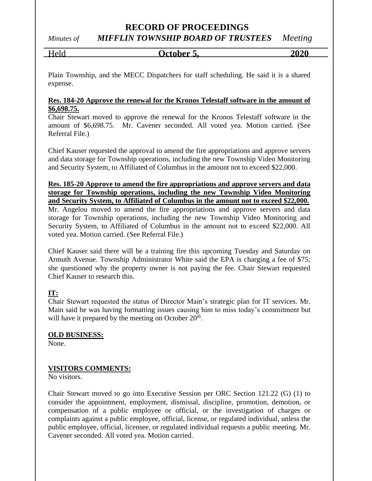*Minutes of MIFFLIN TOWNSHIP BOARD OF TRUSTEES Meeting*

Held **October 5, 2020**

Plain Township, and the MECC Dispatchers for staff scheduling. He said it is a shared expense.

#### **Res. 184-20 Approve the renewal for the Kronos Telestaff software in the amount of \$6,698.75.**

Chair Stewart moved to approve the renewal for the Kronos Telestaff software in the amount of \$6,698.75. Mr. Cavener seconded. All voted yea. Motion carried. (See Referral File.)

Chief Kauser requested the approval to amend the fire appropriations and approve servers and data storage for Township operations, including the new Township Video Monitoring and Security System, to Affiliated of Columbus in the amount not to exceed \$22,000.

**Res. 185-20 Approve to amend the fire appropriations and approve servers and data storage for Township operations, including the new Township Video Monitoring and Security System, to Affiliated of Columbus in the amount not to exceed \$22,000.** Mr. Angelou moved to amend the fire appropriations and approve servers and data

storage for Township operations, including the new Township Video Monitoring and Security System, to Affiliated of Columbus in the amount not to exceed \$22,000. All voted yea. Motion carried. (See Referral File.)

Chief Kauser said there will be a training fire this upcoming Tuesday and Saturday on Armuth Avenue. Township Administrator White said the EPA is charging a fee of \$75; she questioned why the property owner is not paying the fee. Chair Stewart requested Chief Kauser to research this.

#### **IT:**

Chair Stewart requested the status of Director Main's strategic plan for IT services. Mr. Main said he was having formatting issues causing him to miss today's commitment but will have it prepared by the meeting on October  $20<sup>th</sup>$ .

**OLD BUSINESS:** None.

#### **VISITORS COMMENTS:**

No visitors.

Chair Stewart moved to go into Executive Session per ORC Section 121.22 (G) (1) to consider the appointment, employment, dismissal, discipline, promotion, demotion, or compensation of a public employee or official, or the investigation of charges or complaints against a public employee, official, license, or regulated individual, unless the public employee, official, licensee, or regulated individual requests a public meeting. Mr. Cavener seconded. All voted yea. Motion carried.